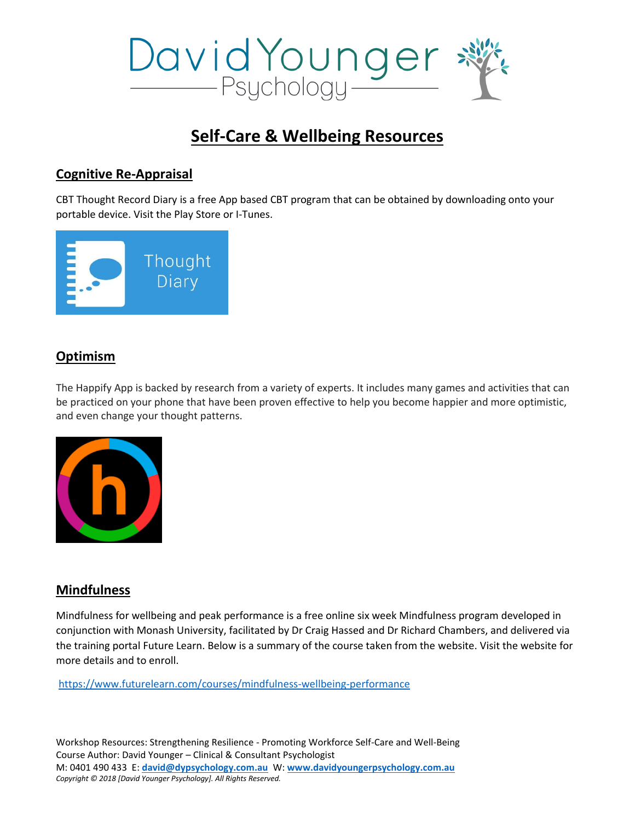

# **Self-Care & Wellbeing Resources**

## **Cognitive Re-Appraisal**

CBT Thought Record Diary is a free App based CBT program that can be obtained by downloading onto your portable device. Visit the Play Store or I-Tunes.



## **Optimism**

The Happify App is backed by research from a variety of experts. It includes many games and activities that can be practiced on your phone that have been proven effective to help you become happier and more optimistic, and even change your thought patterns.



### **Mindfulness**

Mindfulness for wellbeing and peak performance is a free online six week Mindfulness program developed in conjunction with Monash University, facilitated by Dr Craig Hassed and Dr Richard Chambers, and delivered via the training portal Future Learn. Below is a summary of the course taken from the website. Visit the website for more details and to enroll.

<https://www.futurelearn.com/courses/mindfulness-wellbeing-performance>

Workshop Resources: Strengthening Resilience - Promoting Workforce Self-Care and Well-Being Course Author: David Younger – Clinical & Consultant Psychologist M: 0401 490 433E: **[david@dypsychology.com.au](mailto:david@dypsychology.com.au)** W: **[www.davidyoungerpsychology.com.au](http://www.davidyoungerpsychology.com.au/)** *Copyright © 2018 [David Younger Psychology]. All Rights Reserved.*